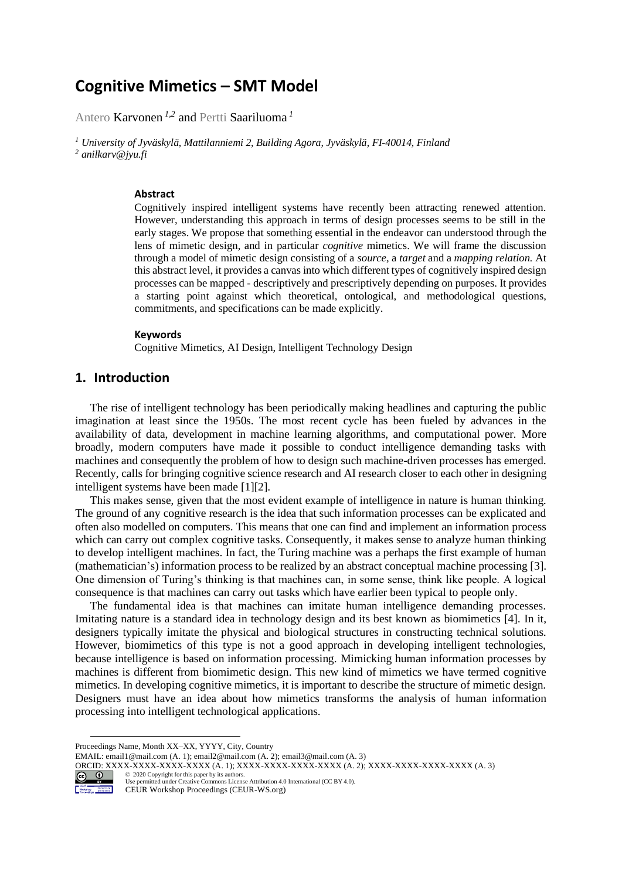# **Cognitive Mimetics – SMT Model**

Antero Karvonen *1,2* and Pertti Saariluoma *<sup>1</sup>*

*<sup>1</sup> University of Jyväskylä, Mattilanniemi 2, Building Agora, Jyväskylä, FI-40014, Finland <sup>2</sup> anilkarv@jyu.fi*

#### **Abstract**

Cognitively inspired intelligent systems have recently been attracting renewed attention. However, understanding this approach in terms of design processes seems to be still in the early stages. We propose that something essential in the endeavor can understood through the lens of mimetic design, and in particular *cognitive* mimetics. We will frame the discussion through a model of mimetic design consisting of a *source,* a *target* and a *mapping relation.* At this abstract level, it provides a canvas into which different types of cognitively inspired design processes can be mapped - descriptively and prescriptively depending on purposes. It provides a starting point against which theoretical, ontological, and methodological questions, commitments, and specifications can be made explicitly.

#### **Keywords 1**

Cognitive Mimetics, AI Design, Intelligent Technology Design

# **1. Introduction**

The rise of intelligent technology has been periodically making headlines and capturing the public imagination at least since the 1950s. The most recent cycle has been fueled by advances in the availability of data, development in machine learning algorithms, and computational power. More broadly, modern computers have made it possible to conduct intelligence demanding tasks with machines and consequently the problem of how to design such machine-driven processes has emerged. Recently, calls for bringing cognitive science research and AI research closer to each other in designing intelligent systems have been made [1][2].

This makes sense, given that the most evident example of intelligence in nature is human thinking. The ground of any cognitive research is the idea that such information processes can be explicated and often also modelled on computers. This means that one can find and implement an information process which can carry out complex cognitive tasks. Consequently, it makes sense to analyze human thinking to develop intelligent machines. In fact, the Turing machine was a perhaps the first example of human (mathematician's) information process to be realized by an abstract conceptual machine processing [3]. One dimension of Turing's thinking is that machines can, in some sense, think like people. A logical consequence is that machines can carry out tasks which have earlier been typical to people only.

The fundamental idea is that machines can imitate human intelligence demanding processes. Imitating nature is a standard idea in technology design and its best known as biomimetics [4]. In it, designers typically imitate the physical and biological structures in constructing technical solutions. However, biomimetics of this type is not a good approach in developing intelligent technologies, because intelligence is based on information processing. Mimicking human information processes by machines is different from biomimetic design. This new kind of mimetics we have termed cognitive mimetics. In developing cognitive mimetics, it is important to describe the structure of mimetic design. Designers must have an idea about how mimetics transforms the analysis of human information processing into intelligent technological applications.

ORCID: XXXX-XXXX-XXXX-XXXX-XXXX (A. 1); XXXX-XXXX-XXXX-XXXX-XXXX (A. 2); XXXX-XXXX-XXXX-XXXX (A. 3)<br>  $\bigodimes_{\text{1}}\bigodot_{\text{2}}$  (2020 Copyright for this paper by its authors.<br>
I log comment is also Creative Comments Ligense A



©️ 2020 Copyright for this paper by its authors. Use permitted under Creative Commons License Attribution 4.0 International (CC BY 4.0).

CEUR Workshop Proceedings (CEUR-WS.org)

Proceedings Name, Month XX–XX, YYYY, City, Country

EMAIL: email1@mail.com (A. 1); email2@mail.com (A. 2); email3@mail.com (A. 3)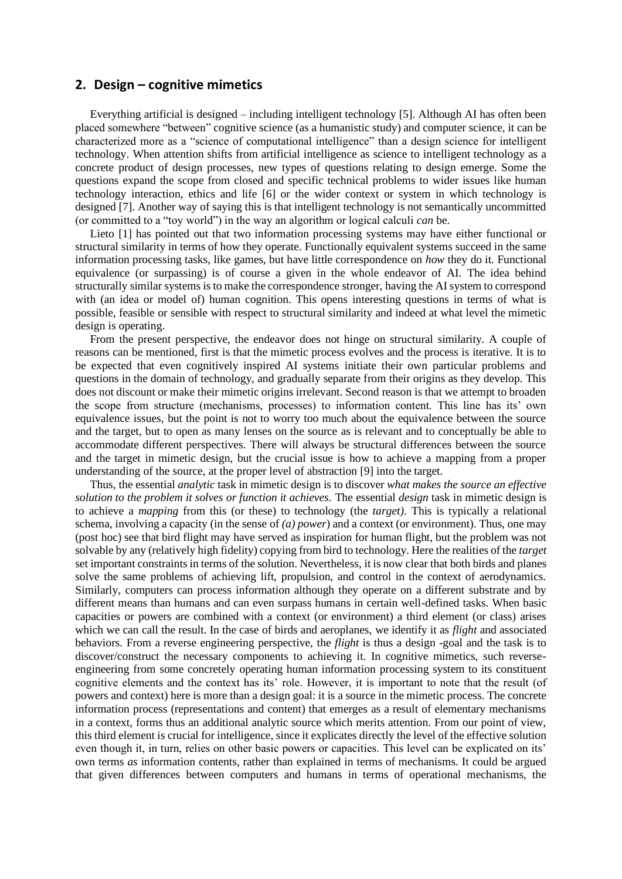### **2. Design – cognitive mimetics**

Everything artificial is designed – including intelligent technology [5]. Although AI has often been placed somewhere "between" cognitive science (as a humanistic study) and computer science, it can be characterized more as a "science of computational intelligence" than a design science for intelligent technology. When attention shifts from artificial intelligence as science to intelligent technology as a concrete product of design processes, new types of questions relating to design emerge. Some the questions expand the scope from closed and specific technical problems to wider issues like human technology interaction, ethics and life [6] or the wider context or system in which technology is designed [7]. Another way of saying this is that intelligent technology is not semantically uncommitted (or committed to a "toy world") in the way an algorithm or logical calculi *can* be.

Lieto [1] has pointed out that two information processing systems may have either functional or structural similarity in terms of how they operate. Functionally equivalent systems succeed in the same information processing tasks, like games, but have little correspondence on *how* they do it. Functional equivalence (or surpassing) is of course a given in the whole endeavor of AI. The idea behind structurally similar systems is to make the correspondence stronger, having the AI system to correspond with (an idea or model of) human cognition. This opens interesting questions in terms of what is possible, feasible or sensible with respect to structural similarity and indeed at what level the mimetic design is operating.

From the present perspective, the endeavor does not hinge on structural similarity. A couple of reasons can be mentioned, first is that the mimetic process evolves and the process is iterative. It is to be expected that even cognitively inspired AI systems initiate their own particular problems and questions in the domain of technology, and gradually separate from their origins as they develop. This does not discount or make their mimetic origins irrelevant. Second reason is that we attempt to broaden the scope from structure (mechanisms, processes) to information content. This line has its' own equivalence issues, but the point is not to worry too much about the equivalence between the source and the target, but to open as many lenses on the source as is relevant and to conceptually be able to accommodate different perspectives. There will always be structural differences between the source and the target in mimetic design, but the crucial issue is how to achieve a mapping from a proper understanding of the source, at the proper level of abstraction [9] into the target.

Thus, the essential *analytic* task in mimetic design is to discover *what makes the source an effective solution to the problem it solves or function it achieves.* The essential *design* task in mimetic design is to achieve a *mapping* from this (or these) to technology (the *target).* This is typically a relational schema, involving a capacity (in the sense of *(a) power*) and a context (or environment). Thus, one may (post hoc) see that bird flight may have served as inspiration for human flight, but the problem was not solvable by any (relatively high fidelity) copying from bird to technology. Here the realities of the *target*  set important constraints in terms of the solution. Nevertheless, it is now clear that both birds and planes solve the same problems of achieving lift, propulsion, and control in the context of aerodynamics. Similarly, computers can process information although they operate on a different substrate and by different means than humans and can even surpass humans in certain well-defined tasks. When basic capacities or powers are combined with a context (or environment) a third element (or class) arises which we can call the result. In the case of birds and aeroplanes, we identify it as *flight* and associated behaviors. From a reverse engineering perspective, the *flight* is thus a design -goal and the task is to discover/construct the necessary components to achieving it. In cognitive mimetics, such reverseengineering from some concretely operating human information processing system to its constituent cognitive elements and the context has its' role. However, it is important to note that the result (of powers and context) here is more than a design goal: it is a source in the mimetic process. The concrete information process (representations and content) that emerges as a result of elementary mechanisms in a context, forms thus an additional analytic source which merits attention. From our point of view, this third element is crucial for intelligence, since it explicates directly the level of the effective solution even though it, in turn, relies on other basic powers or capacities. This level can be explicated on its' own terms *as* information contents, rather than explained in terms of mechanisms. It could be argued that given differences between computers and humans in terms of operational mechanisms, the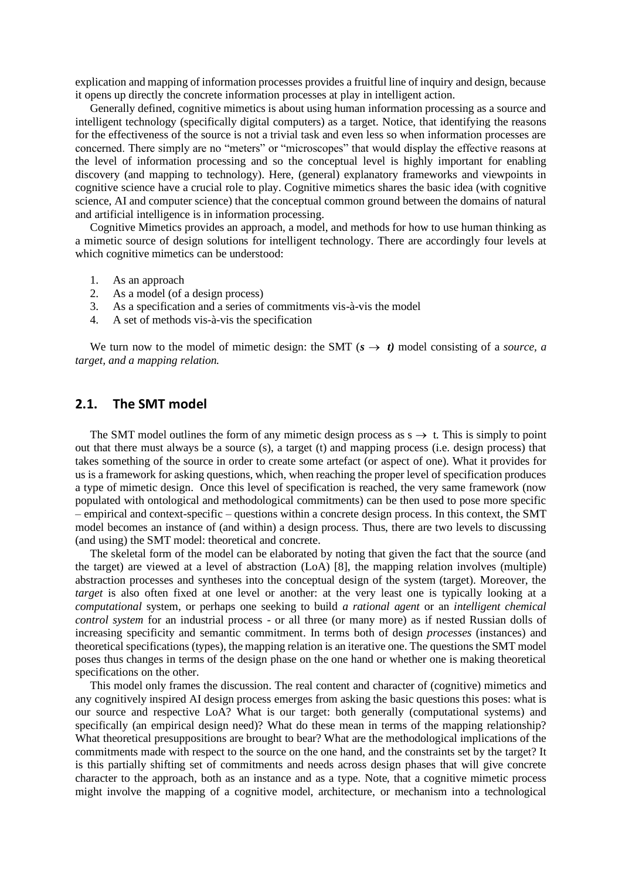explication and mapping of information processes provides a fruitful line of inquiry and design, because it opens up directly the concrete information processes at play in intelligent action.

Generally defined, cognitive mimetics is about using human information processing as a source and intelligent technology (specifically digital computers) as a target. Notice, that identifying the reasons for the effectiveness of the source is not a trivial task and even less so when information processes are concerned. There simply are no "meters" or "microscopes" that would display the effective reasons at the level of information processing and so the conceptual level is highly important for enabling discovery (and mapping to technology). Here, (general) explanatory frameworks and viewpoints in cognitive science have a crucial role to play. Cognitive mimetics shares the basic idea (with cognitive science, AI and computer science) that the conceptual common ground between the domains of natural and artificial intelligence is in information processing.

Cognitive Mimetics provides an approach, a model, and methods for how to use human thinking as a mimetic source of design solutions for intelligent technology. There are accordingly four levels at which cognitive mimetics can be understood:

- 1. As an approach
- 2. As a model (of a design process)
- 3. As a specification and a series of commitments vis-à-vis the model
- 4. A set of methods vis-à-vis the specification

We turn now to the model of mimetic design: the SMT  $(s \rightarrow t)$  model consisting of a *source*, a *target, and a mapping relation.* 

## **2.1. The SMT model**

The SMT model outlines the form of any mimetic design process as  $s \rightarrow t$ . This is simply to point out that there must always be a source (s), a target (t) and mapping process (i.e. design process) that takes something of the source in order to create some artefact (or aspect of one). What it provides for us is a framework for asking questions, which, when reaching the proper level of specification produces a type of mimetic design. Once this level of specification is reached, the very same framework (now populated with ontological and methodological commitments) can be then used to pose more specific – empirical and context-specific – questions within a concrete design process. In this context, the SMT model becomes an instance of (and within) a design process. Thus, there are two levels to discussing (and using) the SMT model: theoretical and concrete.

The skeletal form of the model can be elaborated by noting that given the fact that the source (and the target) are viewed at a level of abstraction (LoA) [8], the mapping relation involves (multiple) abstraction processes and syntheses into the conceptual design of the system (target). Moreover, the *target* is also often fixed at one level or another: at the very least one is typically looking at a *computational* system, or perhaps one seeking to build *a rational agent* or an *intelligent chemical control system* for an industrial process - or all three (or many more) as if nested Russian dolls of increasing specificity and semantic commitment. In terms both of design *processes* (instances) and theoretical specifications (types), the mapping relation is an iterative one. The questions the SMT model poses thus changes in terms of the design phase on the one hand or whether one is making theoretical specifications on the other.

This model only frames the discussion. The real content and character of (cognitive) mimetics and any cognitively inspired AI design process emerges from asking the basic questions this poses: what is our source and respective LoA? What is our target: both generally (computational systems) and specifically (an empirical design need)? What do these mean in terms of the mapping relationship? What theoretical presuppositions are brought to bear? What are the methodological implications of the commitments made with respect to the source on the one hand, and the constraints set by the target? It is this partially shifting set of commitments and needs across design phases that will give concrete character to the approach, both as an instance and as a type. Note, that a cognitive mimetic process might involve the mapping of a cognitive model, architecture, or mechanism into a technological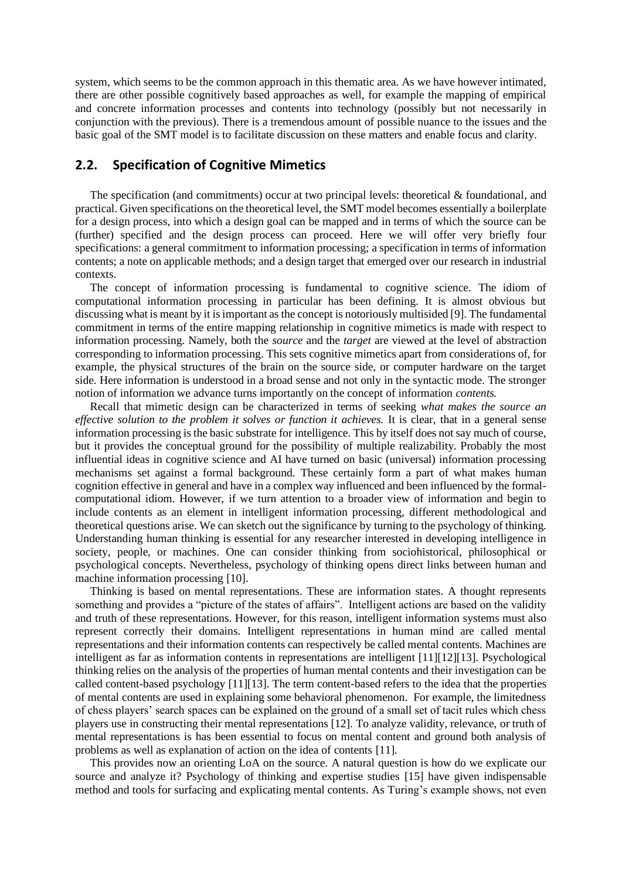system, which seems to be the common approach in this thematic area. As we have however intimated, there are other possible cognitively based approaches as well, for example the mapping of empirical and concrete information processes and contents into technology (possibly but not necessarily in conjunction with the previous). There is a tremendous amount of possible nuance to the issues and the basic goal of the SMT model is to facilitate discussion on these matters and enable focus and clarity.

# **2.2. Specification of Cognitive Mimetics**

The specification (and commitments) occur at two principal levels: theoretical  $\&$  foundational, and practical. Given specifications on the theoretical level, the SMT model becomes essentially a boilerplate for a design process, into which a design goal can be mapped and in terms of which the source can be (further) specified and the design process can proceed. Here we will offer very briefly four specifications: a general commitment to information processing; a specification in terms of information contents; a note on applicable methods; and a design target that emerged over our research in industrial contexts.

The concept of information processing is fundamental to cognitive science. The idiom of computational information processing in particular has been defining. It is almost obvious but discussing what is meant by it is important as the concept is notoriously multisided [9]. The fundamental commitment in terms of the entire mapping relationship in cognitive mimetics is made with respect to information processing. Namely, both the *source* and the *target* are viewed at the level of abstraction corresponding to information processing. This sets cognitive mimetics apart from considerations of, for example, the physical structures of the brain on the source side, or computer hardware on the target side. Here information is understood in a broad sense and not only in the syntactic mode. The stronger notion of information we advance turns importantly on the concept of information *contents.* 

Recall that mimetic design can be characterized in terms of seeking *what makes the source an effective solution to the problem it solves or function it achieves.* It is clear, that in a general sense information processing is the basic substrate for intelligence. This by itself does not say much of course, but it provides the conceptual ground for the possibility of multiple realizability. Probably the most influential ideas in cognitive science and AI have turned on basic (universal) information processing mechanisms set against a formal background. These certainly form a part of what makes human cognition effective in general and have in a complex way influenced and been influenced by the formalcomputational idiom. However, if we turn attention to a broader view of information and begin to include contents as an element in intelligent information processing, different methodological and theoretical questions arise. We can sketch out the significance by turning to the psychology of thinking. Understanding human thinking is essential for any researcher interested in developing intelligence in society, people, or machines. One can consider thinking from sociohistorical, philosophical or psychological concepts. Nevertheless, psychology of thinking opens direct links between human and machine information processing [10].

Thinking is based on mental representations. These are information states. A thought represents something and provides a "picture of the states of affairs". Intelligent actions are based on the validity and truth of these representations. However, for this reason, intelligent information systems must also represent correctly their domains. Intelligent representations in human mind are called mental representations and their information contents can respectively be called mental contents. Machines are intelligent as far as information contents in representations are intelligent [11][12][13]. Psychological thinking relies on the analysis of the properties of human mental contents and their investigation can be called content-based psychology [11][13]. The term content-based refers to the idea that the properties of mental contents are used in explaining some behavioral phenomenon. For example, the limitedness of chess players' search spaces can be explained on the ground of a small set of tacit rules which chess players use in constructing their mental representations [12]. To analyze validity, relevance, or truth of mental representations is has been essential to focus on mental content and ground both analysis of problems as well as explanation of action on the idea of contents [11].

This provides now an orienting LoA on the source. A natural question is how do we explicate our source and analyze it? Psychology of thinking and expertise studies [15] have given indispensable method and tools for surfacing and explicating mental contents. As Turing's example shows, not even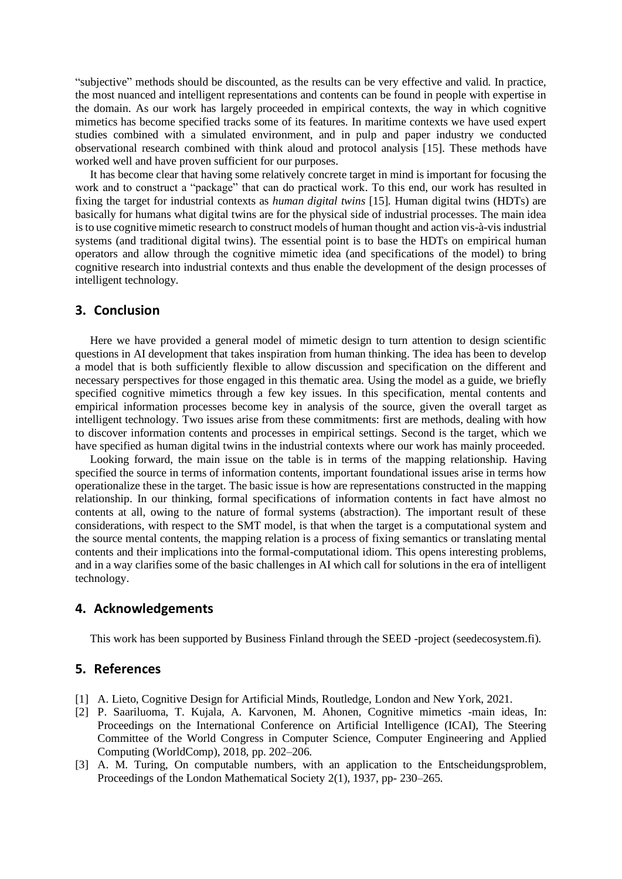"subjective" methods should be discounted, as the results can be very effective and valid. In practice, the most nuanced and intelligent representations and contents can be found in people with expertise in the domain. As our work has largely proceeded in empirical contexts, the way in which cognitive mimetics has become specified tracks some of its features. In maritime contexts we have used expert studies combined with a simulated environment, and in pulp and paper industry we conducted observational research combined with think aloud and protocol analysis [15]. These methods have worked well and have proven sufficient for our purposes.

It has become clear that having some relatively concrete target in mind is important for focusing the work and to construct a "package" that can do practical work. To this end, our work has resulted in fixing the target for industrial contexts as *human digital twins* [15]*.* Human digital twins (HDTs) are basically for humans what digital twins are for the physical side of industrial processes. The main idea is to use cognitive mimetic research to construct models of human thought and action vis-à-vis industrial systems (and traditional digital twins). The essential point is to base the HDTs on empirical human operators and allow through the cognitive mimetic idea (and specifications of the model) to bring cognitive research into industrial contexts and thus enable the development of the design processes of intelligent technology.

#### **3. Conclusion**

Here we have provided a general model of mimetic design to turn attention to design scientific questions in AI development that takes inspiration from human thinking. The idea has been to develop a model that is both sufficiently flexible to allow discussion and specification on the different and necessary perspectives for those engaged in this thematic area. Using the model as a guide, we briefly specified cognitive mimetics through a few key issues. In this specification, mental contents and empirical information processes become key in analysis of the source, given the overall target as intelligent technology. Two issues arise from these commitments: first are methods, dealing with how to discover information contents and processes in empirical settings. Second is the target, which we have specified as human digital twins in the industrial contexts where our work has mainly proceeded.

Looking forward, the main issue on the table is in terms of the mapping relationship. Having specified the source in terms of information contents, important foundational issues arise in terms how operationalize these in the target. The basic issue is how are representations constructed in the mapping relationship. In our thinking, formal specifications of information contents in fact have almost no contents at all, owing to the nature of formal systems (abstraction). The important result of these considerations, with respect to the SMT model, is that when the target is a computational system and the source mental contents, the mapping relation is a process of fixing semantics or translating mental contents and their implications into the formal-computational idiom. This opens interesting problems, and in a way clarifies some of the basic challenges in AI which call for solutions in the era of intelligent technology.

#### **4. Acknowledgements**

This work has been supported by Business Finland through the SEED -project (seedecosystem.fi).

### **5. References**

- [1] A. Lieto, Cognitive Design for Artificial Minds, Routledge, London and New York, 2021.
- [2] P. Saariluoma, T. Kujala, A. Karvonen, M. Ahonen, Cognitive mimetics -main ideas, In: Proceedings on the International Conference on Artificial Intelligence (ICAI), The Steering Committee of the World Congress in Computer Science, Computer Engineering and Applied Computing (WorldComp), 2018, pp. 202–206.
- [3] A. M. Turing, On computable numbers, with an application to the Entscheidungsproblem, Proceedings of the London Mathematical Society 2(1), 1937, pp- 230–265.